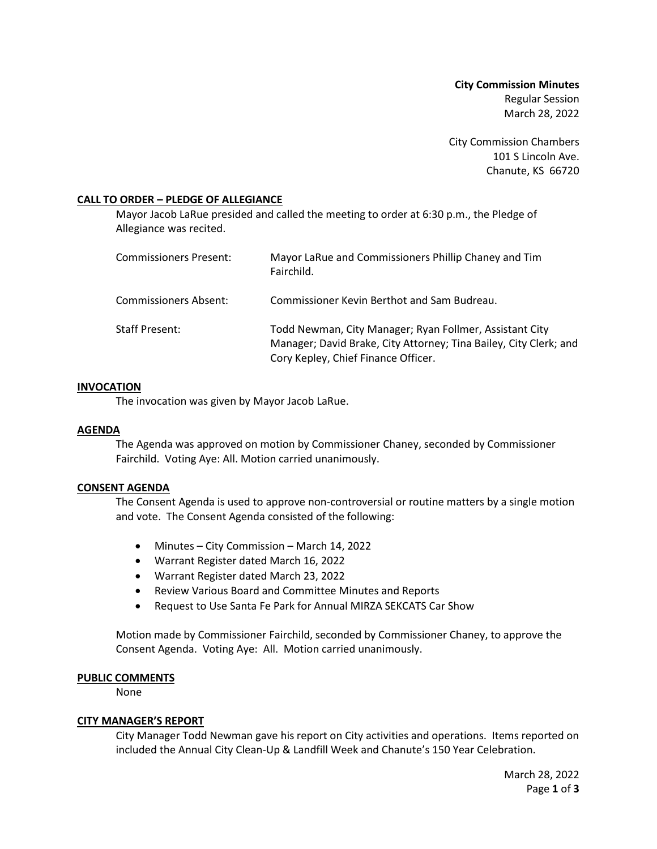**City Commission Minutes** Regular Session March 28, 2022

City Commission Chambers 101 S Lincoln Ave. Chanute, KS 66720

## **CALL TO ORDER – PLEDGE OF ALLEGIANCE**

Mayor Jacob LaRue presided and called the meeting to order at 6:30 p.m., the Pledge of Allegiance was recited.

| Commissioners Present: | Mayor LaRue and Commissioners Phillip Chaney and Tim<br>Fairchild.                                                                                                  |
|------------------------|---------------------------------------------------------------------------------------------------------------------------------------------------------------------|
| Commissioners Absent:  | Commissioner Kevin Berthot and Sam Budreau.                                                                                                                         |
| Staff Present:         | Todd Newman, City Manager; Ryan Follmer, Assistant City<br>Manager; David Brake, City Attorney; Tina Bailey, City Clerk; and<br>Cory Kepley, Chief Finance Officer. |

## **INVOCATION**

The invocation was given by Mayor Jacob LaRue.

## **AGENDA**

The Agenda was approved on motion by Commissioner Chaney, seconded by Commissioner Fairchild. Voting Aye: All. Motion carried unanimously.

## **CONSENT AGENDA**

The Consent Agenda is used to approve non-controversial or routine matters by a single motion and vote. The Consent Agenda consisted of the following:

- Minutes City Commission March 14, 2022
- Warrant Register dated March 16, 2022
- Warrant Register dated March 23, 2022
- Review Various Board and Committee Minutes and Reports
- Request to Use Santa Fe Park for Annual MIRZA SEKCATS Car Show

Motion made by Commissioner Fairchild, seconded by Commissioner Chaney, to approve the Consent Agenda. Voting Aye: All. Motion carried unanimously.

## **PUBLIC COMMENTS**

None

## **CITY MANAGER'S REPORT**

City Manager Todd Newman gave his report on City activities and operations. Items reported on included the Annual City Clean-Up & Landfill Week and Chanute's 150 Year Celebration.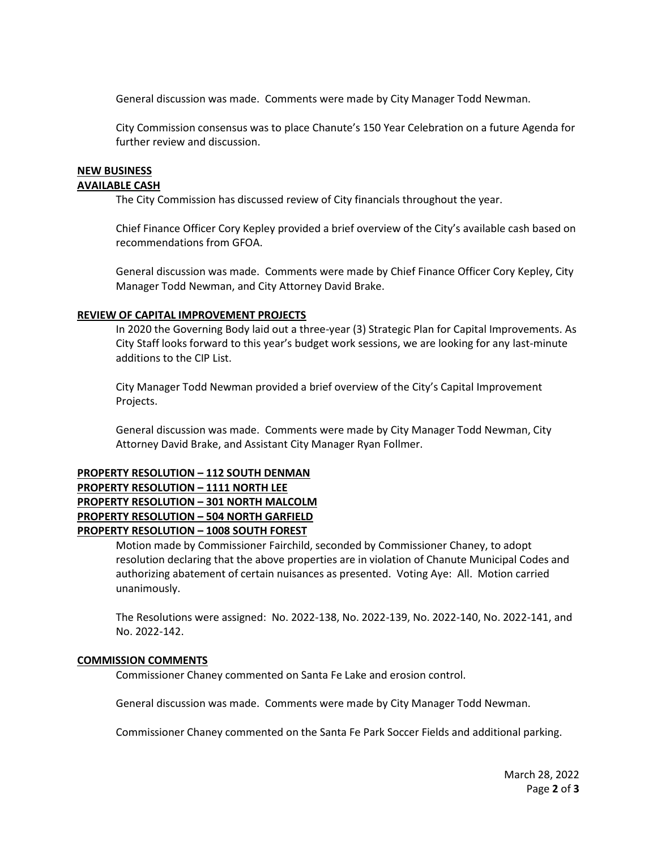General discussion was made. Comments were made by City Manager Todd Newman.

City Commission consensus was to place Chanute's 150 Year Celebration on a future Agenda for further review and discussion.

# **NEW BUSINESS**

# **AVAILABLE CASH**

The City Commission has discussed review of City financials throughout the year.

Chief Finance Officer Cory Kepley provided a brief overview of the City's available cash based on recommendations from GFOA.

General discussion was made. Comments were made by Chief Finance Officer Cory Kepley, City Manager Todd Newman, and City Attorney David Brake.

## **REVIEW OF CAPITAL IMPROVEMENT PROJECTS**

In 2020 the Governing Body laid out a three-year (3) Strategic Plan for Capital Improvements. As City Staff looks forward to this year's budget work sessions, we are looking for any last-minute additions to the CIP List.

City Manager Todd Newman provided a brief overview of the City's Capital Improvement Projects.

General discussion was made. Comments were made by City Manager Todd Newman, City Attorney David Brake, and Assistant City Manager Ryan Follmer.

## **PROPERTY RESOLUTION – 112 SOUTH DENMAN PROPERTY RESOLUTION – 1111 NORTH LEE PROPERTY RESOLUTION – 301 NORTH MALCOLM PROPERTY RESOLUTION – 504 NORTH GARFIELD PROPERTY RESOLUTION – 1008 SOUTH FOREST**

Motion made by Commissioner Fairchild, seconded by Commissioner Chaney, to adopt resolution declaring that the above properties are in violation of Chanute Municipal Codes and authorizing abatement of certain nuisances as presented. Voting Aye: All. Motion carried unanimously.

The Resolutions were assigned: No. 2022-138, No. 2022-139, No. 2022-140, No. 2022-141, and No. 2022-142.

## **COMMISSION COMMENTS**

Commissioner Chaney commented on Santa Fe Lake and erosion control.

General discussion was made. Comments were made by City Manager Todd Newman.

Commissioner Chaney commented on the Santa Fe Park Soccer Fields and additional parking.